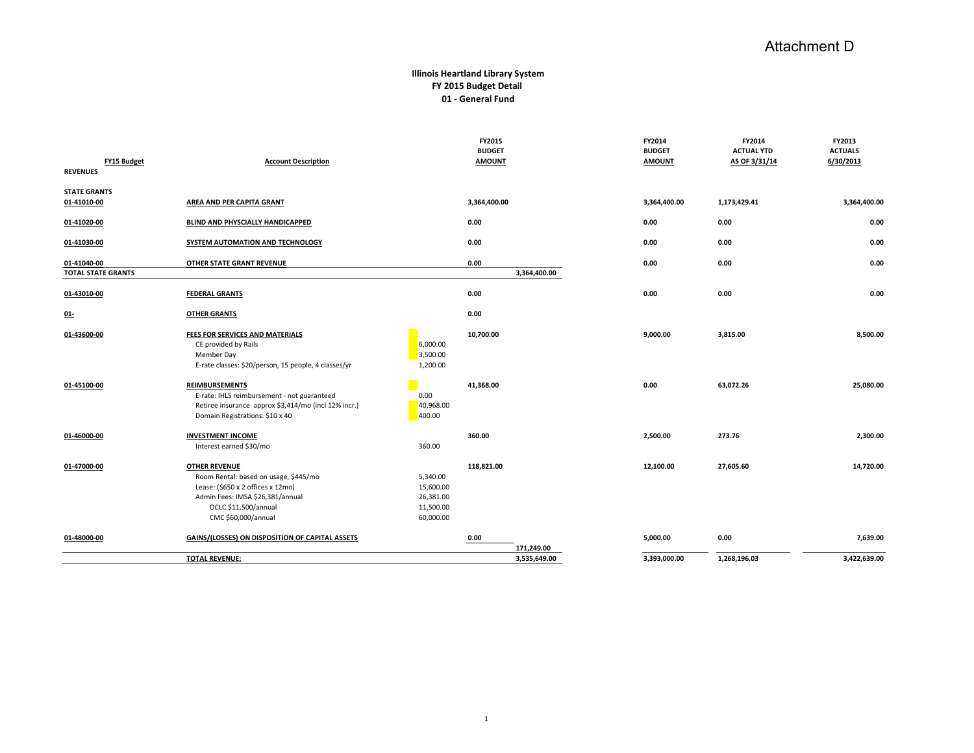## Attachment D

## **Illinois Heartland Library System FY 2015 Budget Detail 01 - General Fund**

|                                       | <b>TOTAL REVENUE:</b>                                                                               |                   | 3,535,649.00       | 3,393,000.00  | 1,268,196.03      | 3,422,639.00   |
|---------------------------------------|-----------------------------------------------------------------------------------------------------|-------------------|--------------------|---------------|-------------------|----------------|
| 01-48000-00                           | GAINS/(LOSSES) ON DISPOSITION OF CAPITAL ASSETS                                                     |                   | 0.00<br>171,249.00 | 5,000.00      | 0.00              | 7,639.00       |
|                                       | CMC \$60,000/annual                                                                                 | 60,000.00         |                    |               |                   |                |
|                                       | OCLC \$11,500/annual                                                                                | 11,500.00         |                    |               |                   |                |
|                                       | Admin Fees: IMSA \$26,381/annual                                                                    | 26,381.00         |                    |               |                   |                |
|                                       | Lease: (\$650 x 2 offices x 12mo)                                                                   | 15,600.00         |                    |               |                   |                |
|                                       | Room Rental: based on usage, \$445/mo                                                               | 5,340.00          |                    |               |                   |                |
| 01-47000-00                           | <b>OTHER REVENUE</b>                                                                                |                   | 118,821.00         | 12,100.00     | 27,605.60         | 14,720.00      |
|                                       | Interest earned \$30/mo                                                                             | 360.00            |                    |               |                   |                |
| 01-46000-00                           | <b>INVESTMENT INCOME</b>                                                                            |                   | 360.00             | 2,500.00      | 273.76            | 2,300.00       |
|                                       | Domain Registrations: \$10 x 40                                                                     | 400.00            |                    |               |                   |                |
|                                       | E-rate: IHLS reimbursement - not guaranteed<br>Retiree insurance approx \$3,414/mo (incl 12% incr.) | 0.00<br>40,968.00 |                    |               |                   |                |
| 01-45100-00                           | <b>REIMBURSEMENTS</b>                                                                               |                   | 41,368.00          | 0.00          | 63,072.26         | 25,080.00      |
|                                       | E-rate classes: \$20/person, 15 people, 4 classes/yr                                                | 1,200.00          |                    |               |                   |                |
|                                       | Member Day                                                                                          | 3,500.00          |                    |               |                   |                |
| 01-43600-00                           | FEES FOR SERVICES AND MATERIALS<br>CE provided by Rails                                             | 6,000.00          | 10,700.00          | 9,000.00      | 3,815.00          | 8,500.00       |
|                                       |                                                                                                     |                   |                    |               |                   |                |
| $01-$                                 | <b>OTHER GRANTS</b>                                                                                 |                   | 0.00               |               |                   |                |
| 01-43010-00                           | <b>FEDERAL GRANTS</b>                                                                               |                   | 0.00               | 0.00          | 0.00              | 0.00           |
| <b>TOTAL STATE GRANTS</b>             |                                                                                                     |                   | 3,364,400.00       |               |                   |                |
| 01-41040-00                           | OTHER STATE GRANT REVENUE                                                                           |                   | 0.00               | 0.00          | 0.00              | 0.00           |
| 01-41030-00                           | SYSTEM AUTOMATION AND TECHNOLOGY                                                                    |                   | 0.00               | 0.00          | 0.00              | 0.00           |
| 01-41020-00                           | BLIND AND PHYSCIALLY HANDICAPPED                                                                    |                   | 0.00               | 0.00          | 0.00              | 0.00           |
| 01-41010-00                           | AREA AND PER CAPITA GRANT                                                                           |                   | 3,364,400.00       | 3,364,400.00  | 1,173,429.41      | 3,364,400.00   |
| <b>STATE GRANTS</b>                   |                                                                                                     |                   |                    |               |                   |                |
| <b>FY15 Budget</b><br><b>REVENUES</b> | <b>Account Description</b>                                                                          |                   | <b>AMOUNT</b>      | <b>AMOUNT</b> | AS OF 3/31/14     | 6/30/2013      |
|                                       |                                                                                                     |                   | <b>BUDGET</b>      | <b>BUDGET</b> | <b>ACTUAL YTD</b> | <b>ACTUALS</b> |
|                                       |                                                                                                     |                   | FY2015             | FY2014        | FY2014            | FY2013         |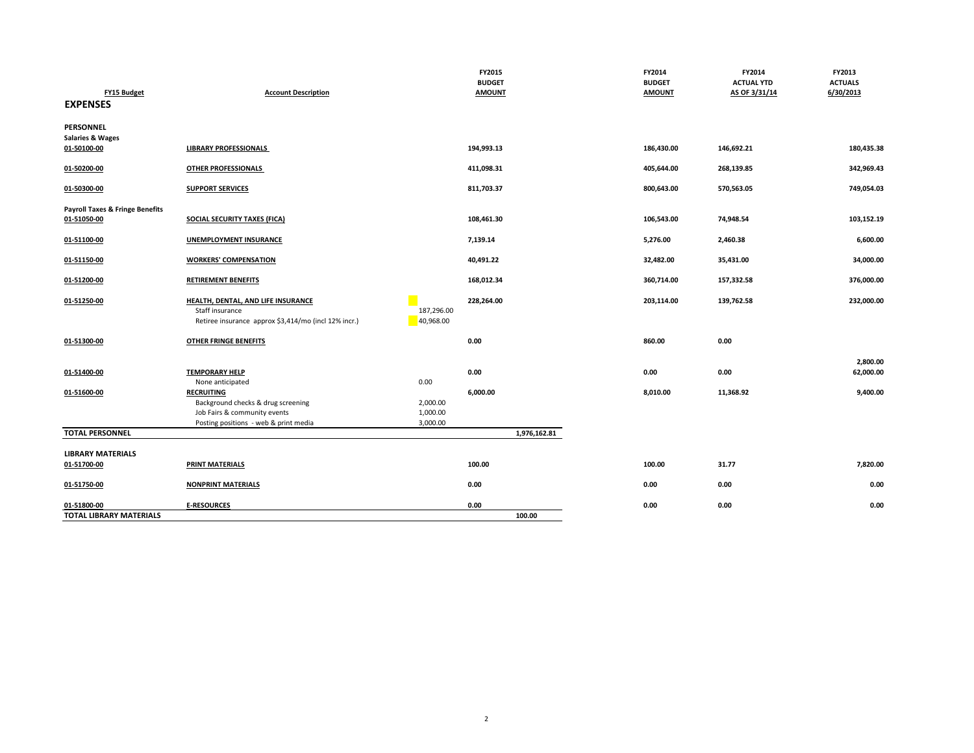|                                                 |                                                                         |                         | FY2015        | FY2014        | FY2014            | FY2013         |
|-------------------------------------------------|-------------------------------------------------------------------------|-------------------------|---------------|---------------|-------------------|----------------|
|                                                 |                                                                         |                         | <b>BUDGET</b> | <b>BUDGET</b> | <b>ACTUAL YTD</b> | <b>ACTUALS</b> |
| FY15 Budget<br><b>EXPENSES</b>                  | <b>Account Description</b>                                              |                         | <b>AMOUNT</b> | <b>AMOUNT</b> | AS OF 3/31/14     | 6/30/2013      |
| <b>PERSONNEL</b><br><b>Salaries &amp; Wages</b> |                                                                         |                         |               |               |                   |                |
| 01-50100-00                                     | <b>LIBRARY PROFESSIONALS</b>                                            |                         | 194,993.13    | 186,430.00    | 146,692.21        | 180,435.38     |
| 01-50200-00                                     | OTHER PROFESSIONALS                                                     |                         | 411,098.31    | 405,644.00    | 268,139.85        | 342,969.43     |
| 01-50300-00                                     | <b>SUPPORT SERVICES</b>                                                 |                         | 811,703.37    | 800,643.00    | 570,563.05        | 749,054.03     |
| <b>Payroll Taxes &amp; Fringe Benefits</b>      |                                                                         |                         |               |               |                   |                |
| 01-51050-00                                     | <b>SOCIAL SECURITY TAXES (FICA)</b>                                     |                         | 108,461.30    | 106,543.00    | 74,948.54         | 103,152.19     |
| 01-51100-00                                     | <b>UNEMPLOYMENT INSURANCE</b>                                           |                         | 7,139.14      | 5,276.00      | 2,460.38          | 6,600.00       |
| 01-51150-00                                     | <b>WORKERS' COMPENSATION</b>                                            |                         | 40,491.22     | 32,482.00     | 35,431.00         | 34,000.00      |
| 01-51200-00                                     | <b>RETIREMENT BENEFITS</b>                                              |                         | 168,012.34    | 360,714.00    | 157,332.58        | 376,000.00     |
| 01-51250-00                                     | HEALTH, DENTAL, AND LIFE INSURANCE                                      |                         | 228,264.00    | 203,114.00    | 139,762.58        | 232,000.00     |
|                                                 | Staff insurance<br>Retiree insurance approx \$3,414/mo (incl 12% incr.) | 187,296.00<br>40,968.00 |               |               |                   |                |
| 01-51300-00                                     | <b>OTHER FRINGE BENEFITS</b>                                            |                         | 0.00          | 860.00        | 0.00              |                |
|                                                 |                                                                         |                         |               |               |                   | 2,800.00       |
| 01-51400-00                                     | <b>TEMPORARY HELP</b>                                                   |                         | 0.00          | 0.00          | 0.00              | 62,000.00      |
|                                                 | None anticipated                                                        | 0.00                    |               |               |                   |                |
| 01-51600-00                                     | <b>RECRUITING</b>                                                       |                         | 6,000.00      | 8,010.00      | 11,368.92         | 9,400.00       |
|                                                 | Background checks & drug screening                                      | 2,000.00                |               |               |                   |                |
|                                                 | Job Fairs & community events                                            | 1,000.00                |               |               |                   |                |
|                                                 | Posting positions - web & print media                                   | 3,000.00                |               |               |                   |                |
| <b>TOTAL PERSONNEL</b>                          |                                                                         |                         | 1,976,162.81  |               |                   |                |
| <b>LIBRARY MATERIALS</b>                        |                                                                         |                         |               |               |                   |                |
| 01-51700-00                                     | PRINT MATERIALS                                                         |                         | 100.00        | 100.00        | 31.77             | 7,820.00       |
| 01-51750-00                                     | <b>NONPRINT MATERIALS</b>                                               |                         | 0.00          | 0.00          | 0.00              | 0.00           |
| 01-51800-00                                     | <b>E-RESOURCES</b>                                                      |                         | 0.00          | 0.00          | 0.00              | 0.00           |
| <b>TOTAL LIBRARY MATERIALS</b>                  |                                                                         |                         | 100.00        |               |                   |                |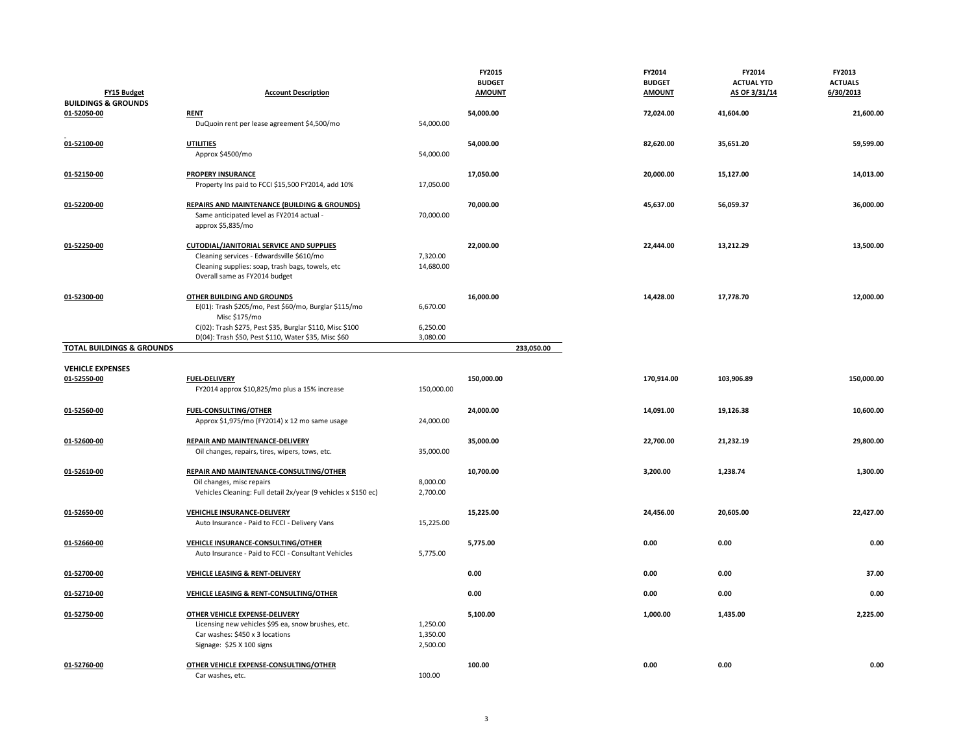| <b>FY15 Budget</b><br><b>BUILDINGS &amp; GROUNDS</b> | <b>Account Description</b>                                                                                                                                                        |                                  | FY2015<br><b>BUDGET</b><br><b>AMOUNT</b> | FY2014<br><b>BUDGET</b><br><b>AMOUNT</b> | FY2014<br><b>ACTUAL YTD</b><br>AS OF 3/31/14 | FY2013<br><b>ACTUALS</b><br>6/30/2013 |
|------------------------------------------------------|-----------------------------------------------------------------------------------------------------------------------------------------------------------------------------------|----------------------------------|------------------------------------------|------------------------------------------|----------------------------------------------|---------------------------------------|
| 01-52050-00                                          | <b>RENT</b><br>DuQuoin rent per lease agreement \$4,500/mo                                                                                                                        | 54,000.00                        | 54,000.00                                | 72,024.00                                | 41,604.00                                    | 21,600.00                             |
| 01-52100-00                                          | <b>UTILITIES</b><br>Approx \$4500/mo                                                                                                                                              | 54,000.00                        | 54,000.00                                | 82,620.00                                | 35,651.20                                    | 59,599.00                             |
| 01-52150-00                                          | <b>PROPERY INSURANCE</b><br>Property Ins paid to FCCI \$15,500 FY2014, add 10%                                                                                                    | 17,050.00                        | 17,050.00                                | 20,000.00                                | 15,127.00                                    | 14,013.00                             |
| 01-52200-00                                          | <b>REPAIRS AND MAINTENANCE (BUILDING &amp; GROUNDS)</b><br>Same anticipated level as FY2014 actual -<br>approx \$5,835/mo                                                         | 70,000.00                        | 70,000.00                                | 45,637.00                                | 56,059.37                                    | 36,000.00                             |
| 01-52250-00                                          | <b>CUTODIAL/JANITORIAL SERVICE AND SUPPLIES</b><br>Cleaning services - Edwardsville \$610/mo<br>Cleaning supplies: soap, trash bags, towels, etc<br>Overall same as FY2014 budget | 7,320.00<br>14,680.00            | 22,000.00                                | 22,444.00                                | 13,212.29                                    | 13,500.00                             |
| 01-52300-00                                          | <b>OTHER BUILDING AND GROUNDS</b><br>E(01): Trash \$205/mo, Pest \$60/mo, Burglar \$115/mo<br>Misc \$175/mo                                                                       | 6,670.00                         | 16,000.00                                | 14,428.00                                | 17,778.70                                    | 12,000.00                             |
|                                                      | C(02): Trash \$275, Pest \$35, Burglar \$110, Misc \$100<br>D(04): Trash \$50, Pest \$110, Water \$35, Misc \$60                                                                  | 6,250.00<br>3,080.00             |                                          |                                          |                                              |                                       |
| <b>TOTAL BUILDINGS &amp; GROUNDS</b>                 |                                                                                                                                                                                   |                                  | 233,050.00                               |                                          |                                              |                                       |
| <b>VEHICLE EXPENSES</b>                              |                                                                                                                                                                                   |                                  |                                          |                                          |                                              |                                       |
| 01-52550-00                                          | <b>FUEL-DELIVERY</b><br>FY2014 approx \$10,825/mo plus a 15% increase                                                                                                             | 150,000.00                       | 150,000.00                               | 170,914.00                               | 103,906.89                                   | 150,000.00                            |
| 01-52560-00                                          | <b>FUEL-CONSULTING/OTHER</b><br>Approx \$1,975/mo (FY2014) x 12 mo same usage                                                                                                     | 24,000.00                        | 24,000.00                                | 14,091.00                                | 19,126.38                                    | 10,600.00                             |
| 01-52600-00                                          | REPAIR AND MAINTENANCE-DELIVERY<br>Oil changes, repairs, tires, wipers, tows, etc.                                                                                                | 35,000.00                        | 35,000.00                                | 22,700.00                                | 21,232.19                                    | 29,800.00                             |
| 01-52610-00                                          | REPAIR AND MAINTENANCE-CONSULTING/OTHER<br>Oil changes, misc repairs<br>Vehicles Cleaning: Full detail 2x/year (9 vehicles x \$150 ec)                                            | 8,000.00<br>2,700.00             | 10,700.00                                | 3,200.00                                 | 1,238.74                                     | 1,300.00                              |
| 01-52650-00                                          | VEHICHLE INSURANCE-DELIVERY<br>Auto Insurance - Paid to FCCI - Delivery Vans                                                                                                      | 15,225.00                        | 15,225.00                                | 24,456.00                                | 20,605.00                                    | 22,427.00                             |
| 01-52660-00                                          | VEHICLE INSURANCE-CONSULTING/OTHER<br>Auto Insurance - Paid to FCCI - Consultant Vehicles                                                                                         | 5,775.00                         | 5,775.00                                 | 0.00                                     | 0.00                                         | 0.00                                  |
| 01-52700-00                                          | <b>VEHICLE LEASING &amp; RENT-DELIVERY</b>                                                                                                                                        |                                  | 0.00                                     | 0.00                                     | 0.00                                         | 37.00                                 |
| 01-52710-00                                          | VEHICLE LEASING & RENT-CONSULTING/OTHER                                                                                                                                           |                                  | 0.00                                     | 0.00                                     | 0.00                                         | 0.00                                  |
| 01-52750-00                                          | OTHER VEHICLE EXPENSE-DELIVERY<br>Licensing new vehicles \$95 ea, snow brushes, etc.<br>Car washes: \$450 x 3 locations<br>Signage: \$25 X 100 signs                              | 1,250.00<br>1,350.00<br>2,500.00 | 5,100.00                                 | 1,000.00                                 | 1,435.00                                     | 2,225.00                              |
| 01-52760-00                                          | OTHER VEHICLE EXPENSE-CONSULTING/OTHER<br>Car washes, etc.                                                                                                                        | 100.00                           | 100.00                                   | 0.00                                     | 0.00                                         | 0.00                                  |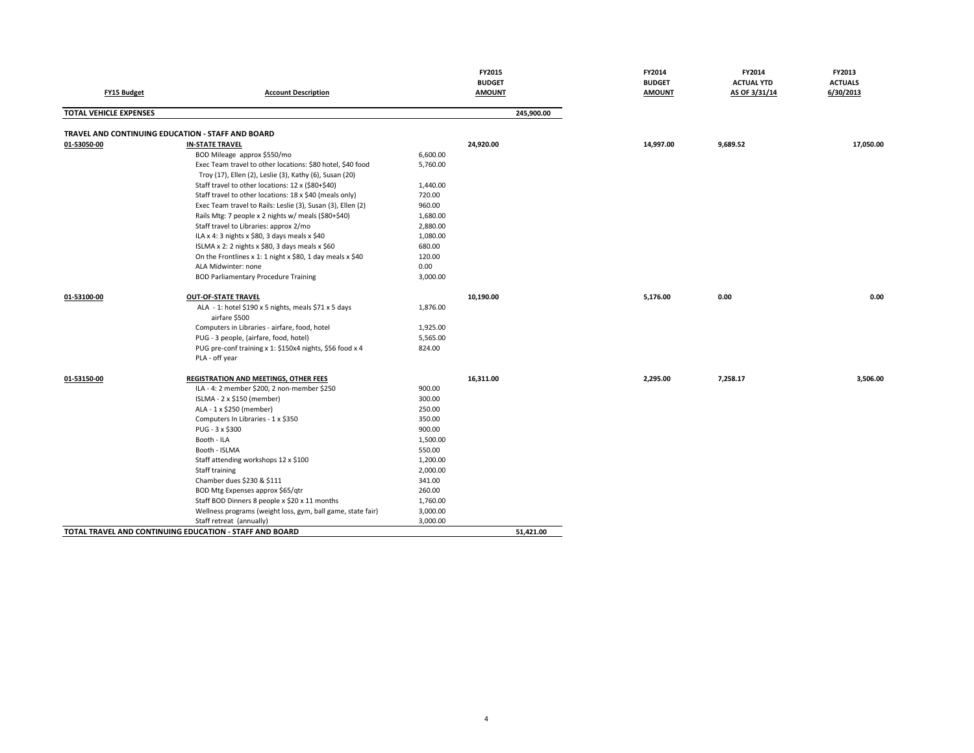|                                                   |                                                             |          | FY2015        | FY2014        | FY2014            | FY2013         |
|---------------------------------------------------|-------------------------------------------------------------|----------|---------------|---------------|-------------------|----------------|
|                                                   |                                                             |          | <b>BUDGET</b> | <b>BUDGET</b> | <b>ACTUAL YTD</b> | <b>ACTUALS</b> |
| FY15 Budget                                       | <b>Account Description</b>                                  |          | <b>AMOUNT</b> | <b>AMOUNT</b> | AS OF 3/31/14     | 6/30/2013      |
| <b>TOTAL VEHICLE EXPENSES</b>                     |                                                             |          | 245,900.00    |               |                   |                |
| TRAVEL AND CONTINUING EDUCATION - STAFF AND BOARD |                                                             |          |               |               |                   |                |
| 01-53050-00                                       | <b>IN-STATE TRAVEL</b>                                      |          | 24,920.00     | 14,997.00     | 9,689.52          | 17,050.00      |
|                                                   | BOD Mileage approx \$550/mo                                 | 6,600.00 |               |               |                   |                |
|                                                   | Exec Team travel to other locations: \$80 hotel, \$40 food  | 5,760.00 |               |               |                   |                |
|                                                   | Troy (17), Ellen (2), Leslie (3), Kathy (6), Susan (20)     |          |               |               |                   |                |
|                                                   | Staff travel to other locations: 12 x (\$80+\$40)           | 1,440.00 |               |               |                   |                |
|                                                   | Staff travel to other locations: 18 x \$40 (meals only)     | 720.00   |               |               |                   |                |
|                                                   | Exec Team travel to Rails: Leslie (3), Susan (3), Ellen (2) | 960.00   |               |               |                   |                |
|                                                   | Rails Mtg: 7 people x 2 nights w/ meals (\$80+\$40)         | 1,680.00 |               |               |                   |                |
|                                                   | Staff travel to Libraries: approx 2/mo                      | 2,880.00 |               |               |                   |                |
|                                                   | ILA x 4: 3 nights x \$80, 3 days meals x \$40               | 1,080.00 |               |               |                   |                |
|                                                   | ISLMA x 2: 2 nights x \$80, 3 days meals x \$60             | 680.00   |               |               |                   |                |
|                                                   | On the Frontlines x 1: 1 night x \$80, 1 day meals x \$40   | 120.00   |               |               |                   |                |
|                                                   | ALA Midwinter: none                                         | 0.00     |               |               |                   |                |
|                                                   | <b>BOD Parliamentary Procedure Training</b>                 | 3,000.00 |               |               |                   |                |
| 01-53100-00                                       | <b>OUT-OF-STATE TRAVEL</b>                                  |          | 10,190.00     | 5,176.00      | 0.00              | 0.00           |
|                                                   | ALA - 1: hotel \$190 x 5 nights, meals \$71 x 5 days        | 1,876.00 |               |               |                   |                |
|                                                   | airfare \$500                                               |          |               |               |                   |                |
|                                                   | Computers in Libraries - airfare, food, hotel               | 1,925.00 |               |               |                   |                |
|                                                   | PUG - 3 people, (airfare, food, hotel)                      | 5,565.00 |               |               |                   |                |
|                                                   | PUG pre-conf training x 1: \$150x4 nights, \$56 food x 4    | 824.00   |               |               |                   |                |
|                                                   | PLA - off year                                              |          |               |               |                   |                |
| 01-53150-00                                       | <b>REGISTRATION AND MEETINGS, OTHER FEES</b>                |          | 16,311.00     | 2,295.00      | 7,258.17          | 3,506.00       |
|                                                   | ILA - 4: 2 member \$200, 2 non-member \$250                 | 900.00   |               |               |                   |                |
|                                                   | ISLMA - 2 x \$150 (member)                                  | 300.00   |               |               |                   |                |
|                                                   | ALA - 1 x \$250 (member)                                    | 250.00   |               |               |                   |                |
|                                                   | Computers In Libraries - 1 x \$350                          | 350.00   |               |               |                   |                |
|                                                   | PUG - 3 x \$300                                             | 900.00   |               |               |                   |                |
|                                                   | Booth - ILA                                                 | 1,500.00 |               |               |                   |                |
|                                                   | Booth - ISLMA                                               | 550.00   |               |               |                   |                |
|                                                   | Staff attending workshops 12 x \$100                        | 1,200.00 |               |               |                   |                |
|                                                   | Staff training                                              | 2,000.00 |               |               |                   |                |
|                                                   | Chamber dues \$230 & \$111                                  | 341.00   |               |               |                   |                |
|                                                   | BOD Mtg Expenses approx \$65/qtr                            | 260.00   |               |               |                   |                |
|                                                   | Staff BOD Dinners 8 people x \$20 x 11 months               | 1,760.00 |               |               |                   |                |
|                                                   | Wellness programs (weight loss, gym, ball game, state fair) | 3,000.00 |               |               |                   |                |
|                                                   | Staff retreat (annually)                                    | 3,000.00 |               |               |                   |                |
|                                                   | TOTAL TRAVEL AND CONTINUING EDUCATION - STAFF AND BOARD     |          | 51,421.00     |               |                   |                |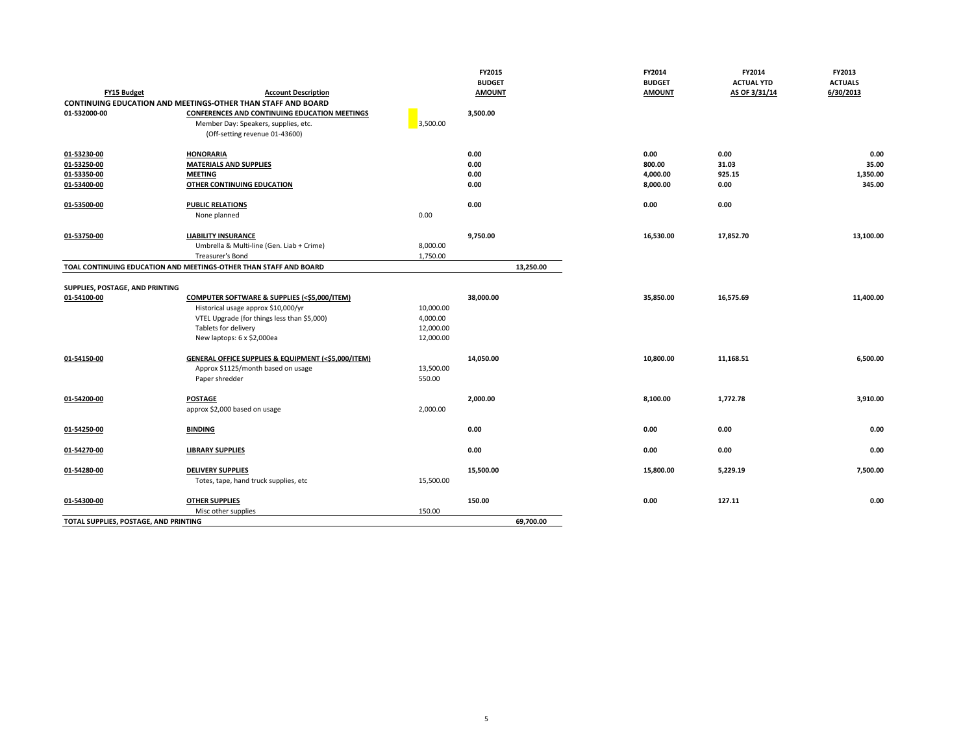|                                       |                                                                     |           | FY2015        |      | FY2014                 | FY2014<br>FY2013                    |
|---------------------------------------|---------------------------------------------------------------------|-----------|---------------|------|------------------------|-------------------------------------|
|                                       |                                                                     |           | <b>BUDGET</b> |      | <b>BUDGET</b>          | <b>ACTUAL YTD</b><br><b>ACTUALS</b> |
| <b>FY15 Budget</b>                    | <b>Account Description</b>                                          |           | <b>AMOUNT</b> |      | <b>AMOUNT</b>          | 6/30/2013<br>AS OF 3/31/14          |
|                                       | <b>CONTINUING EDUCATION AND MEETINGS-OTHER THAN STAFF AND BOARD</b> |           |               |      |                        |                                     |
| 01-532000-00                          | <b>CONFERENCES AND CONTINUING EDUCATION MEETINGS</b>                |           | 3,500.00      |      |                        |                                     |
|                                       | Member Day: Speakers, supplies, etc.                                | 3,500.00  |               |      |                        |                                     |
|                                       | (Off-setting revenue 01-43600)                                      |           |               |      |                        |                                     |
| 01-53230-00                           | <b>HONORARIA</b>                                                    |           | 0.00          | 0.00 | 0.00                   | 0.00                                |
| 01-53250-00                           | <b>MATERIALS AND SUPPLIES</b>                                       |           | 0.00          |      | 800.00<br>31.03        | 35.00                               |
| 01-53350-00                           | <b>MEETING</b>                                                      |           | 0.00          |      | 4,000.00<br>925.15     | 1,350.00                            |
| 01-53400-00                           | OTHER CONTINUING EDUCATION                                          |           | 0.00          |      | 8,000.00<br>0.00       | 345.00                              |
|                                       |                                                                     |           |               |      |                        |                                     |
| 01-53500-00                           | <b>PUBLIC RELATIONS</b>                                             |           | 0.00          | 0.00 | 0.00                   |                                     |
|                                       | None planned                                                        | 0.00      |               |      |                        |                                     |
| 01-53750-00                           | <b>LIABILITY INSURANCE</b>                                          |           | 9,750.00      |      | 16,530.00<br>17,852.70 | 13,100.00                           |
|                                       | Umbrella & Multi-line (Gen. Liab + Crime)                           | 8,000.00  |               |      |                        |                                     |
|                                       | Treasurer's Bond                                                    | 1,750.00  |               |      |                        |                                     |
|                                       | TOAL CONTINUING EDUCATION AND MEETINGS-OTHER THAN STAFF AND BOARD   |           | 13,250.00     |      |                        |                                     |
|                                       |                                                                     |           |               |      |                        |                                     |
| SUPPLIES, POSTAGE, AND PRINTING       |                                                                     |           |               |      |                        |                                     |
| 01-54100-00                           | <b>COMPUTER SOFTWARE &amp; SUPPLIES (&lt;\$5,000/ITEM)</b>          |           | 38,000.00     |      | 35,850.00<br>16,575.69 | 11,400.00                           |
|                                       | Historical usage approx \$10,000/yr                                 | 10,000.00 |               |      |                        |                                     |
|                                       | VTEL Upgrade (for things less than \$5,000)                         | 4,000.00  |               |      |                        |                                     |
|                                       | Tablets for delivery                                                | 12,000.00 |               |      |                        |                                     |
|                                       | New laptops: 6 x \$2,000ea                                          | 12,000.00 |               |      |                        |                                     |
| 01-54150-00                           | GENERAL OFFICE SUPPLIES & EQUIPMENT (<\$5,000/ITEM)                 |           | 14,050.00     |      | 10,800.00<br>11,168.51 | 6,500.00                            |
|                                       | Approx \$1125/month based on usage                                  | 13,500.00 |               |      |                        |                                     |
|                                       | Paper shredder                                                      | 550.00    |               |      |                        |                                     |
|                                       |                                                                     |           |               |      |                        |                                     |
| 01-54200-00                           | <b>POSTAGE</b>                                                      |           | 2,000.00      |      | 8,100.00<br>1,772.78   | 3,910.00                            |
|                                       | approx \$2,000 based on usage                                       | 2,000.00  |               |      |                        |                                     |
| 01-54250-00                           | <b>BINDING</b>                                                      |           | 0.00          | 0.00 | 0.00                   | 0.00                                |
|                                       |                                                                     |           |               |      |                        |                                     |
| 01-54270-00                           | <b>LIBRARY SUPPLIES</b>                                             |           | 0.00          | 0.00 | 0.00                   | 0.00                                |
|                                       |                                                                     |           |               |      |                        |                                     |
| 01-54280-00                           | <b>DELIVERY SUPPLIES</b>                                            |           | 15,500.00     |      | 15,800.00<br>5,229.19  | 7,500.00                            |
|                                       | Totes, tape, hand truck supplies, etc                               | 15,500.00 |               |      |                        |                                     |
| 01-54300-00                           | <b>OTHER SUPPLIES</b>                                               |           | 150.00        | 0.00 | 127.11                 | 0.00                                |
|                                       | Misc other supplies                                                 | 150.00    |               |      |                        |                                     |
| TOTAL SUPPLIES, POSTAGE, AND PRINTING |                                                                     |           | 69.700.00     |      |                        |                                     |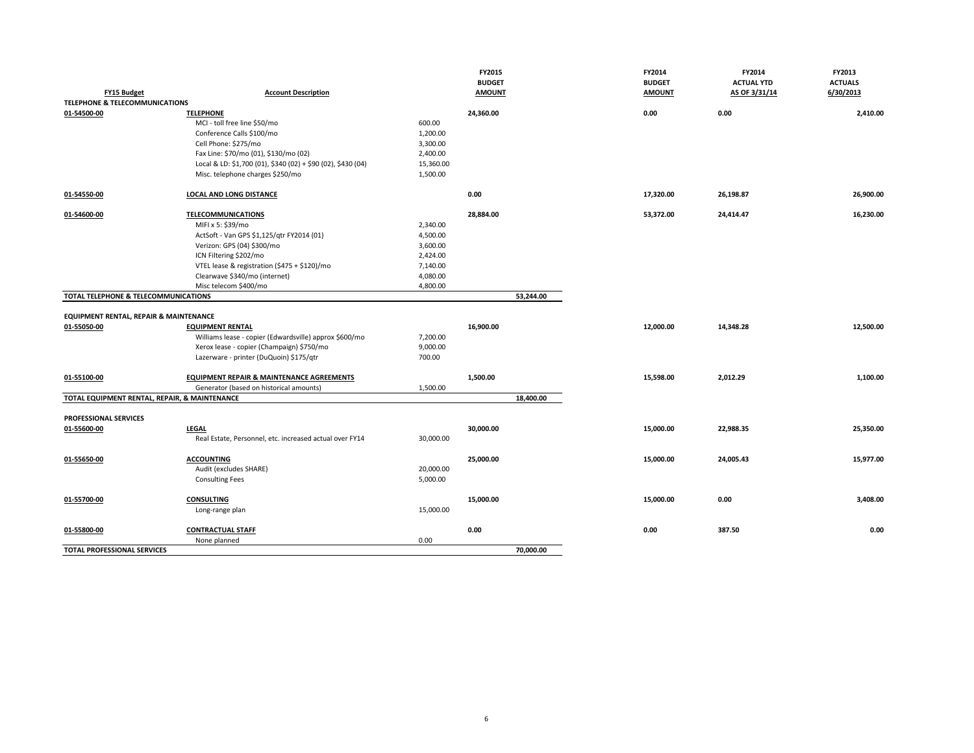|                                                   |                                                              |           | FY2015        | FY2014        | FY2014            | FY2013         |
|---------------------------------------------------|--------------------------------------------------------------|-----------|---------------|---------------|-------------------|----------------|
|                                                   |                                                              |           | <b>BUDGET</b> | <b>BUDGET</b> | <b>ACTUAL YTD</b> | <b>ACTUALS</b> |
| <b>FY15 Budget</b>                                | <b>Account Description</b>                                   |           | <b>AMOUNT</b> | <b>AMOUNT</b> | AS OF 3/31/14     | 6/30/2013      |
| <b>TELEPHONE &amp; TELECOMMUNICATIONS</b>         |                                                              |           |               |               |                   |                |
| 01-54500-00                                       | <b>TELEPHONE</b>                                             |           | 24,360.00     | 0.00          | 0.00              | 2,410.00       |
|                                                   | MCI - toll free line \$50/mo                                 | 600.00    |               |               |                   |                |
|                                                   | Conference Calls \$100/mo                                    | 1,200.00  |               |               |                   |                |
|                                                   | Cell Phone: \$275/mo                                         | 3,300.00  |               |               |                   |                |
|                                                   | Fax Line: \$70/mo (01), \$130/mo (02)                        | 2,400.00  |               |               |                   |                |
|                                                   | Local & LD: \$1,700 (01), \$340 (02) + \$90 (02), \$430 (04) | 15,360.00 |               |               |                   |                |
|                                                   | Misc. telephone charges \$250/mo                             | 1,500.00  |               |               |                   |                |
|                                                   |                                                              |           |               |               |                   |                |
| 01-54550-00                                       | <b>LOCAL AND LONG DISTANCE</b>                               |           | 0.00          | 17,320.00     | 26,198.87         | 26,900.00      |
| 01-54600-00                                       | <b>TELECOMMUNICATIONS</b>                                    |           | 28,884.00     | 53,372.00     | 24,414.47         | 16,230.00      |
|                                                   | MIFI x 5: \$39/mo                                            | 2,340.00  |               |               |                   |                |
|                                                   |                                                              |           |               |               |                   |                |
|                                                   | ActSoft - Van GPS \$1,125/qtr FY2014 (01)                    | 4,500.00  |               |               |                   |                |
|                                                   | Verizon: GPS (04) \$300/mo                                   | 3,600.00  |               |               |                   |                |
|                                                   | ICN Filtering \$202/mo                                       | 2,424.00  |               |               |                   |                |
|                                                   | VTEL lease & registration (\$475 + \$120)/mo                 | 7,140.00  |               |               |                   |                |
|                                                   | Clearwave \$340/mo (internet)                                | 4,080.00  |               |               |                   |                |
|                                                   | Misc telecom \$400/mo                                        | 4,800.00  |               |               |                   |                |
| TOTAL TELEPHONE & TELECOMMUNICATIONS              |                                                              |           | 53,244.00     |               |                   |                |
|                                                   |                                                              |           |               |               |                   |                |
| <b>EQUIPMENT RENTAL, REPAIR &amp; MAINTENANCE</b> |                                                              |           |               |               |                   |                |
| 01-55050-00                                       | <b>EQUIPMENT RENTAL</b>                                      |           | 16,900.00     | 12,000.00     | 14,348.28         | 12,500.00      |
|                                                   | Williams lease - copier (Edwardsville) approx \$600/mo       | 7,200.00  |               |               |                   |                |
|                                                   | Xerox lease - copier (Champaign) \$750/mo                    | 9,000.00  |               |               |                   |                |
|                                                   | Lazerware - printer (DuQuoin) \$175/qtr                      | 700.00    |               |               |                   |                |
| 01-55100-00                                       | <b>EQUIPMENT REPAIR &amp; MAINTENANCE AGREEMENTS</b>         |           | 1,500.00      | 15,598.00     | 2,012.29          | 1,100.00       |
|                                                   |                                                              | 1,500.00  |               |               |                   |                |
| TOTAL EQUIPMENT RENTAL, REPAIR, & MAINTENANCE     | Generator (based on historical amounts)                      |           | 18,400.00     |               |                   |                |
|                                                   |                                                              |           |               |               |                   |                |
| <b>PROFESSIONAL SERVICES</b>                      |                                                              |           |               |               |                   |                |
| 01-55600-00                                       | LEGAL                                                        |           | 30,000.00     | 15,000.00     | 22,988.35         | 25,350.00      |
|                                                   | Real Estate, Personnel, etc. increased actual over FY14      | 30,000.00 |               |               |                   |                |
|                                                   |                                                              |           |               |               |                   |                |
| 01-55650-00                                       | <b>ACCOUNTING</b>                                            |           | 25,000.00     | 15,000.00     | 24,005.43         | 15,977.00      |
|                                                   | Audit (excludes SHARE)                                       | 20,000.00 |               |               |                   |                |
|                                                   | <b>Consulting Fees</b>                                       | 5,000.00  |               |               |                   |                |
|                                                   |                                                              |           |               |               |                   |                |
| 01-55700-00                                       | <b>CONSULTING</b>                                            |           | 15,000.00     | 15,000.00     | 0.00              | 3,408.00       |
|                                                   | Long-range plan                                              | 15,000.00 |               |               |                   |                |
|                                                   |                                                              |           |               |               |                   |                |
| 01-55800-00                                       | <b>CONTRACTUAL STAFF</b>                                     |           | 0.00          | 0.00          | 387.50            | 0.00           |
|                                                   | None planned                                                 | 0.00      |               |               |                   |                |
| TOTAL PROFESSIONAL SERVICES                       |                                                              |           | 70,000.00     |               |                   |                |
|                                                   |                                                              |           |               |               |                   |                |